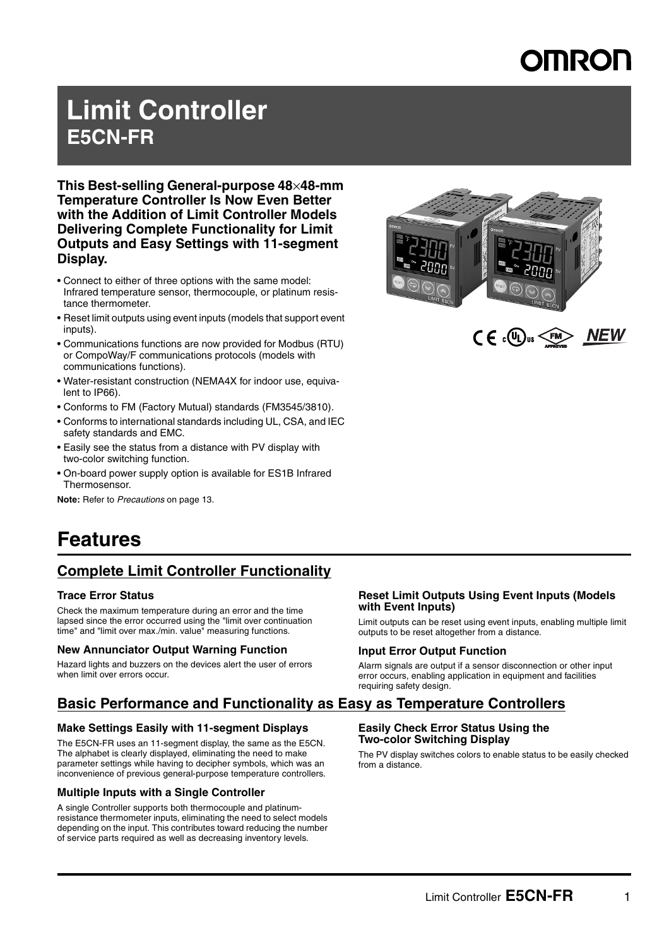# **OMROL**

## **Limit Controller E5CN-FR**

**This Best-selling General-purpose 48**×**48-mm Temperature Controller Is Now Even Better with the Addition of Limit Controller Models Delivering Complete Functionality for Limit Outputs and Easy Settings with 11-segment Display.** 

- Connect to either of three options with the same model: Infrared temperature sensor, thermocouple, or platinum resistance thermometer.
- Reset limit outputs using event inputs (models that support event inputs).
- Communications functions are now provided for Modbus (RTU) or CompoWay/F communications protocols (models with communications functions).
- Water-resistant construction (NEMA4X for indoor use, equivalent to IP66).
- Conforms to FM (Factory Mutual) standards (FM3545/3810).
- Conforms to international standards including UL, CSA, and IEC safety standards and EMC.
- Easily see the status from a distance with PV display with two-color switching function.
- On-board power supply option is available for ES1B Infrared Thermosensor.

**Note:** Refer to *Precautions* on page 13.



## **Features**

### **Complete Limit Controller Functionality**

### **Trace Error Status**

Check the maximum temperature during an error and the time lapsed since the error occurred using the "limit over continuation time" and "limit over max./min. value" measuring functions.

### **New Annunciator Output Warning Function**

Hazard lights and buzzers on the devices alert the user of errors when limit over errors occur.

### **Reset Limit Outputs Using Event Inputs (Models with Event Inputs)**

Limit outputs can be reset using event inputs, enabling multiple limit outputs to be reset altogether from a distance.

### **Input Error Output Function**

Alarm signals are output if a sensor disconnection or other input error occurs, enabling application in equipment and facilities requiring safety design.

### **Basic Performance and Functionality as Easy as Temperature Controllers**

### **Make Settings Easily with 11-segment Displays**

The E5CN-FR uses an 11-segment display, the same as the E5CN. The alphabet is clearly displayed, eliminating the need to make parameter settings while having to decipher symbols, which was an inconvenience of previous general-purpose temperature controllers.

### **Multiple Inputs with a Single Controller**

A single Controller supports both thermocouple and platinumresistance thermometer inputs, eliminating the need to select models depending on the input. This contributes toward reducing the number of service parts required as well as decreasing inventory levels.

## **Easily Check Error Status Using the**

### **Two-color Switching Display**

The PV display switches colors to enable status to be easily checked from a distance.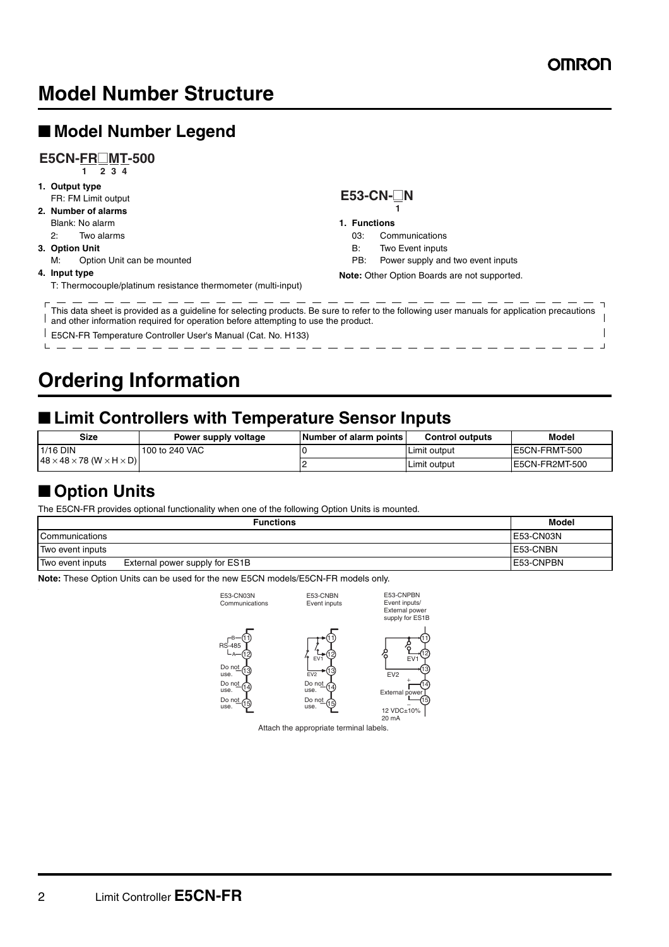Ľ

## **Model Number Structure**

## ■ **Model Number Legend**

#### **1 2 3 4 E5CN-FR**@**MT-500**

- **1. Output type** FR: FM Limit output **2. Number of alarms** Blank: No alarm 2: Two alarms
- **3. Option Unit**
- M: Option Unit can be mounted

#### **4. Input type**

T: Thermocouple/platinum resistance thermometer (multi-input)

#### **1 E53-CN-**@**N**

#### **1. Functions**

- 03: Communications
- B: Two Event inputs
- PB: Power supply and two event inputs
- **Note:** Other Option Boards are not supported.

- - - - - - - - - - - - - - - - $T_{\text{This data sheet is provided as a guideline for selecting products.}$  Be sure to refer to the following user manuals for application precautions  $\overline{\phantom{0}}$ and other information required for operation before attempting to use the product.  $\overline{\phantom{a}}$ 

E5CN-FR Temperature Controller User's Manual (Cat. No. H133)  $\mathbf{L}$ 

## **Ordering Information**

### ■ Limit Controllers with Temperature Sensor Inputs

| Size                                                | Power supply voltage | <b>Number of alarm points</b> | <b>Control outputs</b> | Model          |
|-----------------------------------------------------|----------------------|-------------------------------|------------------------|----------------|
| $1/16$ DIN                                          | 100 to 240 VAC       |                               | Limit output           | E5CN-FRMT-500  |
| $148 \times 48 \times 78$ (W $\times$ H $\times$ D) |                      |                               | Limit output           | E5CN-FR2MT-500 |

### ■ Option Units

The E5CN-FR provides optional functionality when one of the following Option Units is mounted.

|                       | <b>Functions</b>               | Model      |
|-----------------------|--------------------------------|------------|
| <b>Communications</b> |                                | E53-CN03N  |
| Two event inputs      |                                | E53-CNBN   |
| Two event inputs      | External power supply for ES1B | LE53-CNPBN |

**Note:** These Option Units can be used for the new E5CN models/E5CN-FR models only.

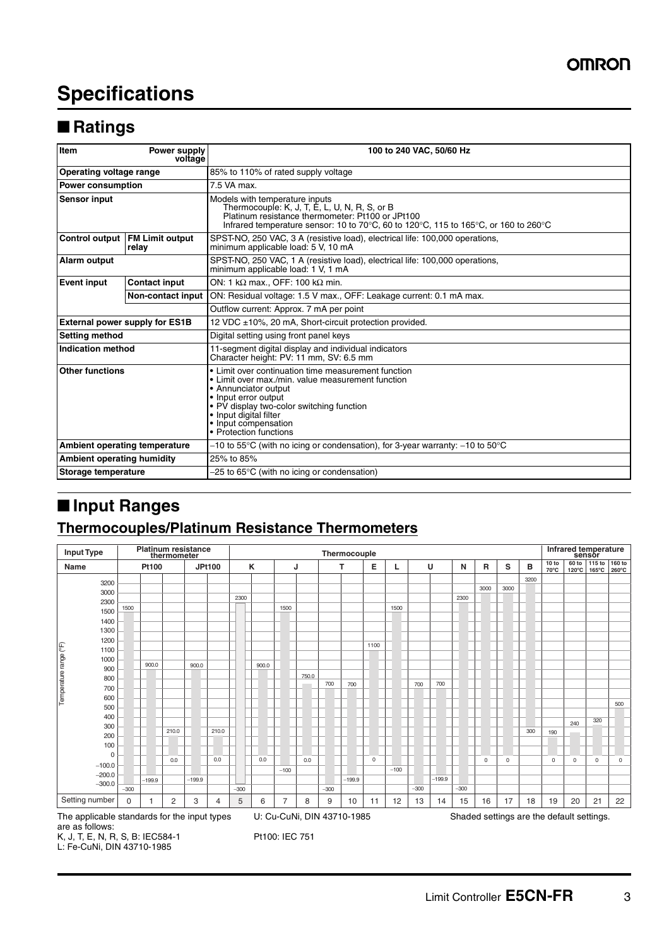## **Specifications**

### ■ **Ratings**

| Item                                    | Power supply<br>voltage               | 100 to 240 VAC, 50/60 Hz                                                                                                                                                                                                                                                          |  |  |  |
|-----------------------------------------|---------------------------------------|-----------------------------------------------------------------------------------------------------------------------------------------------------------------------------------------------------------------------------------------------------------------------------------|--|--|--|
| Operating voltage range                 |                                       | 85% to 110% of rated supply voltage                                                                                                                                                                                                                                               |  |  |  |
| <b>Power consumption</b>                |                                       | 7.5 VA max.                                                                                                                                                                                                                                                                       |  |  |  |
| <b>Sensor input</b>                     |                                       | Models with temperature inputs<br>Thermocouple: K, J, T, E, L, U, N, R, S, or B<br>Platinum resistance thermometer: Pt100 or JPt100<br>Infrared temperature sensor: 10 to 70°C, 60 to 120°C, 115 to 165°C, or 160 to 260°C                                                        |  |  |  |
| Control output FM Limit output<br>relay |                                       | SPST-NO, 250 VAC, 3 A (resistive load), electrical life: 100,000 operations,<br>minimum applicable load: 5 V, 10 mA                                                                                                                                                               |  |  |  |
| Alarm output                            |                                       | SPST-NO, 250 VAC, 1 A (resistive load), electrical life: 100,000 operations,<br>minimum applicable load: 1 V, 1 mA                                                                                                                                                                |  |  |  |
| <b>Event input</b>                      | <b>Contact input</b>                  | ON: 1 kΩ max OFF: 100 kΩ min.                                                                                                                                                                                                                                                     |  |  |  |
|                                         | Non-contact input                     | ON: Residual voltage: 1.5 V max., OFF: Leakage current: 0.1 mA max.                                                                                                                                                                                                               |  |  |  |
|                                         |                                       | Outflow current: Approx. 7 mA per point                                                                                                                                                                                                                                           |  |  |  |
|                                         | <b>External power supply for ES1B</b> | 12 VDC ±10%, 20 mA, Short-circuit protection provided.                                                                                                                                                                                                                            |  |  |  |
| <b>Setting method</b>                   |                                       | Digital setting using front panel keys                                                                                                                                                                                                                                            |  |  |  |
| <b>Indication method</b>                |                                       | 11-segment digital display and individual indicators<br>Character height: PV: 11 mm, SV: 6.5 mm                                                                                                                                                                                   |  |  |  |
| <b>Other functions</b>                  |                                       | • Limit over continuation time measurement function<br>• Limit over max./min. value measurement function<br>• Annunciator output<br>• Input error output<br>• PV display two-color switching function<br>• Input digital filter<br>• Input compensation<br>• Protection functions |  |  |  |
|                                         | Ambient operating temperature         | $-10$ to 55°C (with no icing or condensation), for 3-year warranty: $-10$ to 50°C                                                                                                                                                                                                 |  |  |  |
| <b>Ambient operating humidity</b>       |                                       | 25% to 85%                                                                                                                                                                                                                                                                        |  |  |  |
| Storage temperature                     |                                       | $-25$ to 65 $\degree$ C (with no icing or condensation)                                                                                                                                                                                                                           |  |  |  |

## ■ **Input Ranges**

### **Thermocouples/Platinum Resistance Thermometers**

| <b>Input Type</b>                                                                                                                          |          |          | thermometer | <b>Platinum resistance</b> |               |        | Thermocouple |        |       |        |          |            | sensor | Infrared temperature |          |        |             |             |      |               |                          |                           |                           |
|--------------------------------------------------------------------------------------------------------------------------------------------|----------|----------|-------------|----------------------------|---------------|--------|--------------|--------|-------|--------|----------|------------|--------|----------------------|----------|--------|-------------|-------------|------|---------------|--------------------------|---------------------------|---------------------------|
| Name                                                                                                                                       |          | Pt100    |             |                            | <b>JPt100</b> |        | ĸ            | J      |       |        | т        | Е          | ц      |                      | U        | N      | R           | s           | в    | 10 to<br>70°C | 60 to<br>$120^{\circ}$ C | 115 to<br>$165^{\circ}$ C | 160 to<br>$260^{\circ}$ C |
| 3200                                                                                                                                       |          |          |             |                            |               |        |              |        |       |        |          |            |        |                      |          |        |             |             | 3200 |               |                          |                           |                           |
| 3000                                                                                                                                       |          |          |             |                            |               |        |              |        |       |        |          |            |        |                      |          |        | 3000        | 3000        |      |               |                          |                           |                           |
| 2300                                                                                                                                       |          |          |             |                            |               | 2300   |              |        |       |        |          |            |        |                      |          | 2300   |             |             |      |               |                          |                           |                           |
| 1500                                                                                                                                       | 1500     |          |             |                            |               |        |              | 1500   |       |        |          |            | 1500   |                      |          |        |             |             |      |               |                          |                           |                           |
| 1400                                                                                                                                       |          |          |             |                            |               |        |              |        |       |        |          |            |        |                      |          |        |             |             |      |               |                          |                           |                           |
| 1300                                                                                                                                       |          |          |             |                            |               |        |              |        |       |        |          |            |        |                      |          |        |             |             |      |               |                          |                           |                           |
| 1200                                                                                                                                       |          |          |             |                            |               |        |              |        |       |        |          |            |        |                      |          |        |             |             |      |               |                          |                           |                           |
| 1100                                                                                                                                       |          |          |             |                            |               |        |              |        |       |        |          | 1100       |        |                      |          |        |             |             |      |               |                          |                           |                           |
| Temperature range (°F)<br>1000                                                                                                             |          |          |             |                            |               |        |              |        |       |        |          |            |        |                      |          |        |             |             |      |               |                          |                           |                           |
| 900                                                                                                                                        |          | 900.0    |             | 900.0                      |               |        | 900.0        |        |       |        |          |            |        |                      |          |        |             |             |      |               |                          |                           |                           |
| 800                                                                                                                                        |          |          |             |                            |               |        |              |        | 750.0 |        |          |            |        |                      |          |        |             |             |      |               |                          |                           |                           |
| 700                                                                                                                                        |          |          |             |                            |               |        |              |        |       | 700    | 700      |            |        | 700                  | 700      |        |             |             |      |               |                          |                           |                           |
| 600                                                                                                                                        |          |          |             |                            |               |        |              |        |       |        |          |            |        |                      |          |        |             |             |      |               |                          |                           |                           |
| 500                                                                                                                                        |          |          |             |                            |               |        |              |        |       |        |          |            |        |                      |          |        |             |             |      |               |                          |                           | 500                       |
| 400                                                                                                                                        |          |          |             |                            |               |        |              |        |       |        |          |            |        |                      |          |        |             |             |      |               |                          |                           |                           |
| 300                                                                                                                                        |          |          |             |                            |               |        |              |        |       |        |          |            |        |                      |          |        |             |             |      |               | 240                      | 320                       |                           |
| 200                                                                                                                                        |          |          | 210.0       |                            | 210.0         |        |              |        |       |        |          |            |        |                      |          |        |             |             | 300  | 190           |                          |                           |                           |
| 100                                                                                                                                        |          |          |             |                            |               |        |              |        |       |        |          |            |        |                      |          |        |             |             |      |               |                          |                           |                           |
| $\Omega$                                                                                                                                   |          |          |             |                            |               |        |              |        |       |        |          |            |        |                      |          |        |             |             |      |               |                          |                           |                           |
| $-100.0$                                                                                                                                   |          |          | 0.0         |                            | 0.0           |        | 0.0          |        | 0.0   |        |          | $^{\circ}$ |        |                      |          |        | $\mathbf 0$ | $\mathbf 0$ |      | 0             | 0                        | 0                         | $^{\circ}$                |
| $-200.0$                                                                                                                                   |          |          |             |                            |               |        |              | $-100$ |       |        |          |            | $-100$ |                      |          |        |             |             |      |               |                          |                           |                           |
| $-300.0$                                                                                                                                   |          | $-199.9$ |             | $-199.9$                   |               |        |              |        |       |        | $-199.9$ |            |        |                      | $-199.9$ |        |             |             |      |               |                          |                           |                           |
|                                                                                                                                            | $-300$   |          |             |                            |               | $-300$ |              |        |       | $-300$ |          |            |        | $-300$               |          | $-300$ |             |             |      |               |                          |                           |                           |
| Setting number                                                                                                                             | $\Omega$ |          | 2           | 3                          | 4             | 5      | 6            | 7      | 8     | 9      | 10       | 11         | 12     | 13                   | 14       | 15     | 16          | 17          | 18   | 19            | 20                       | 21                        | 22                        |
| U: Cu-CuNi, DIN 43710-1985<br>The applicable standards for the input types<br>Shaded settings are the default settings.<br>are as follows: |          |          |             |                            |               |        |              |        |       |        |          |            |        |                      |          |        |             |             |      |               |                          |                           |                           |

K, J, T, E, N, R, S, B: IEC584-1 L: Fe-CuNi, DIN 43710-1985

Pt100: IEC 751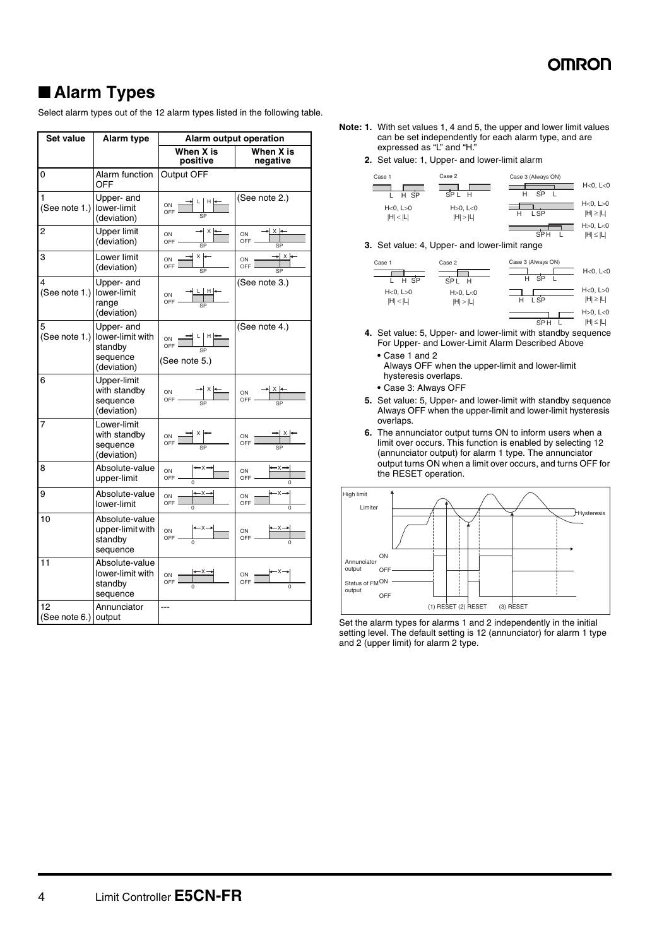SPH L |H|≤|L|

### ■ **Alarm Types**

Select alarm types out of the 12 alarm types listed in the following table.

| Set value                  | Alarm type                                                           |                                                                                                                                                                   | Alarm output operation                                 |
|----------------------------|----------------------------------------------------------------------|-------------------------------------------------------------------------------------------------------------------------------------------------------------------|--------------------------------------------------------|
|                            |                                                                      | When X is<br>positive                                                                                                                                             | When X is<br>negative                                  |
| 0                          | Alarm function<br>OFF                                                | Output OFF                                                                                                                                                        |                                                        |
| 1<br>(See note 1.)         | Upper- and<br>lower-limit<br>(deviation)                             | <mark>∃</mark> ┖│ <sup>н</sup> ⊧<br>ON<br>OFF<br>SP                                                                                                               | (See note 2.)                                          |
| 2                          | <b>Upper limit</b><br>(deviation)                                    | X<br>ON<br>OFF-<br>SP                                                                                                                                             | $x \rightarrow$<br>ON<br>OFF<br>$\overline{\text{SP}}$ |
| 3                          | Lower limit<br>(deviation)                                           | ∤x l≁<br>ON<br>OFF<br>SP                                                                                                                                          | $\rightarrow$ $\times$ $\leftarrow$<br>ON<br>OFF<br>SP |
| 4<br>(See note 1.)         | Upper- and<br>lower-limit<br>range<br>(deviation)                    | ON<br>OFF                                                                                                                                                         | (See note 3.)                                          |
| 5<br>(See note 1.)         | Upper- and<br>lower-limit with<br>standby<br>sequence<br>(deviation) | $\begin{array}{c c c c} \n\text{ON} & \longrightarrow & \text{L} & \text{H} & \longleftarrow \\ \n\text{OFF} & & & \text{SP} & \\ \n\end{array}$<br>(See note 5.) | (See note 4.)                                          |
| 6                          | Upper-limit<br>with standby<br>sequence<br>(deviation)               | ON<br>OFF-                                                                                                                                                        | ON $\frac{X}{Y}$                                       |
| 7                          | Lower-limit<br>with standby<br>sequence<br>(deviation)               | ON<br>OFF                                                                                                                                                         | ON<br>OFF                                              |
| 8                          | Absolute-value<br>upper-limit                                        | ON<br>OFF.                                                                                                                                                        | ON<br>OFF                                              |
| 9                          | Absolute-value<br>lower-limit                                        | ON<br>OFF                                                                                                                                                         | ON<br>OFF                                              |
| 10                         | Absolute-value<br>upper-limit with<br>standby<br>sequence            | ON<br>OFF -                                                                                                                                                       | ON<br>OFF                                              |
| 11                         | Absolute-value<br>lower-limit with<br>standby<br>sequence            | ON<br>OFF                                                                                                                                                         | $rac{ON}{OFF}$                                         |
| 12<br>(See note 6.) output | Annunciator                                                          | ---                                                                                                                                                               |                                                        |

- **Note: 1.** With set values 1, 4 and 5, the upper and lower limit values can be set independently for each alarm type, and are expressed as "L" and "H."
	- **2.** Set value: 1, Upper- and lower-limit alarm

| Case 1                        | Case 2                 | Case 3 (Always ON) |                                     |
|-------------------------------|------------------------|--------------------|-------------------------------------|
| H SP                          | SPL H                  | SP<br>н            | H<0, L<0                            |
| $H < 0$ , $L > 0$<br> H  <  L | H > 0, L < 0<br> H > L | L SP               | $H < 0$ , $L > 0$<br>$ H  \geq  L $ |
|                               |                        |                    | $H > 0$ , $L < 0$                   |

**3.** Set value: 4, Upper- and lower-limit range

| Case 1<br>H SP       | Case 2<br>SP <sub>L</sub><br>H | Case 3 (Always ON)<br><b>SP</b><br>н | H<0, L<0                            |
|----------------------|--------------------------------|--------------------------------------|-------------------------------------|
| H<0, L>0<br> H  <  L | $H > 0$ , $L < 0$<br> H  >  L  | L SP<br>н                            | H<0, L>0<br>$ H  \geq  L $          |
|                      |                                | SP <sub>H</sub>                      | $H > 0$ , $L < 0$<br>$ H  \leq  L $ |

- **4.** Set value: 5, Upper- and lower-limit with standby sequence For Upper- and Lower-Limit Alarm Described Above
	- **•** Case 1 and 2 Always OFF when the upper-limit and lower-limit hysteresis overlaps.
	- **•** Case 3: Always OFF
- **5.** Set value: 5, Upper- and lower-limit with standby sequence Always OFF when the upper-limit and lower-limit hysteresis overlaps.
- **6.** The annunciator output turns ON to inform users when a limit over occurs. This function is enabled by selecting 12 (annunciator output) for alarm 1 type. The annunciator output turns ON when a limit over occurs, and turns OFF for the RESET operation.



Set the alarm types for alarms 1 and 2 independently in the initial setting level. The default setting is 12 (annunciator) for alarm 1 type and 2 (upper limit) for alarm 2 type.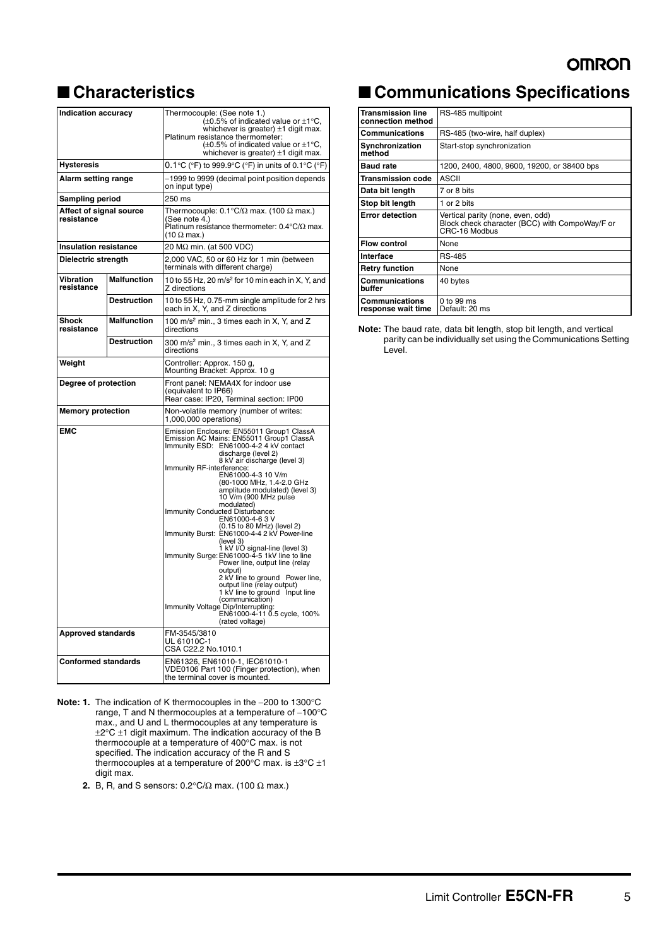### ■ **Characteristics**

| <b>Indication accuracy</b>            |                    | Thermocouple: (See note 1.)<br>$(\pm 0.5\%$ of indicated value or $\pm 1^{\circ}$ C,<br>whichever is greater) ±1 digit max.<br>Platinum resistance thermometer:<br>$(\pm 0.5\%$ of indicated value or $\pm 1^{\circ}$ C,<br>whichever is greater) $\pm 1$ digit max.                                                                                                                                                                                                                                                                                                                                                                                                                                                                                                                                                                        |  |  |  |
|---------------------------------------|--------------------|---------------------------------------------------------------------------------------------------------------------------------------------------------------------------------------------------------------------------------------------------------------------------------------------------------------------------------------------------------------------------------------------------------------------------------------------------------------------------------------------------------------------------------------------------------------------------------------------------------------------------------------------------------------------------------------------------------------------------------------------------------------------------------------------------------------------------------------------|--|--|--|
| Hysteresis                            |                    | $0.1^{\circ}$ C ( $^{\circ}$ F) to 999.9 $^{\circ}$ C ( $^{\circ}$ F) in units of 0.1 $^{\circ}$ C ( $^{\circ}$ F)                                                                                                                                                                                                                                                                                                                                                                                                                                                                                                                                                                                                                                                                                                                          |  |  |  |
| Alarm setting range                   |                    | -1999 to 9999 (decimal point position depends<br>on input type)                                                                                                                                                                                                                                                                                                                                                                                                                                                                                                                                                                                                                                                                                                                                                                             |  |  |  |
| Sampling period                       |                    | 250 ms                                                                                                                                                                                                                                                                                                                                                                                                                                                                                                                                                                                                                                                                                                                                                                                                                                      |  |  |  |
| Affect of signal source<br>resistance |                    | Thermocouple: $0.1^{\circ}C/\Omega$ max. (100 $\Omega$ max.)<br>(See note 4.)<br>Platinum resistance thermometer: $0.4^{\circ}\text{C}/\Omega$ max.<br>$(10 \Omega \text{ max.})$                                                                                                                                                                                                                                                                                                                                                                                                                                                                                                                                                                                                                                                           |  |  |  |
| <b>Insulation resistance</b>          |                    | 20 MΩ min. (at 500 VDC)                                                                                                                                                                                                                                                                                                                                                                                                                                                                                                                                                                                                                                                                                                                                                                                                                     |  |  |  |
| Dielectric strength                   |                    | 2,000 VAC, 50 or 60 Hz for 1 min (between<br>terminals with different charge)                                                                                                                                                                                                                                                                                                                                                                                                                                                                                                                                                                                                                                                                                                                                                               |  |  |  |
| Vibration<br>resistance               | <b>Malfunction</b> | 10 to 55 Hz, 20 $m/s2$ for 10 min each in X, Y, and<br>Z directions                                                                                                                                                                                                                                                                                                                                                                                                                                                                                                                                                                                                                                                                                                                                                                         |  |  |  |
|                                       | <b>Destruction</b> | 10 to 55 Hz, 0.75-mm single amplitude for 2 hrs each in X, Y, and Z directions                                                                                                                                                                                                                                                                                                                                                                                                                                                                                                                                                                                                                                                                                                                                                              |  |  |  |
| Shock<br>resistance                   | <b>Malfunction</b> | 100 m/s <sup>2</sup> min., 3 times each in X, Y, and Z<br>directions                                                                                                                                                                                                                                                                                                                                                                                                                                                                                                                                                                                                                                                                                                                                                                        |  |  |  |
|                                       | <b>Destruction</b> | 300 m/s <sup>2</sup> min., 3 times each in X, Y, and Z<br>directions                                                                                                                                                                                                                                                                                                                                                                                                                                                                                                                                                                                                                                                                                                                                                                        |  |  |  |
| Weight                                |                    | Controller: Approx. 150 g,<br>Mounting Bracket: Approx. 10 g                                                                                                                                                                                                                                                                                                                                                                                                                                                                                                                                                                                                                                                                                                                                                                                |  |  |  |
| Degree of protection                  |                    | Front panel: NEMA4X for indoor use<br>(equivalent to IP66)<br>Rear case: IP20, Terminal section: IP00                                                                                                                                                                                                                                                                                                                                                                                                                                                                                                                                                                                                                                                                                                                                       |  |  |  |
| <b>Memory protection</b>              |                    | Non-volatile memory (number of writes:<br>1,000,000 operations)                                                                                                                                                                                                                                                                                                                                                                                                                                                                                                                                                                                                                                                                                                                                                                             |  |  |  |
| <b>EMC</b>                            |                    | Emission Enclosure: EN55011 Group1 ClassA<br>Emission AC Mains: EN55011 Group1 ClassA<br>Immunity ESD: EN61000-4-2 4 kV contact<br>discharge (level 2)<br>8 kV air discharge (level 3)<br>Immunity RF-interference:<br>EN61000-4-3 10 V/m<br>(80-1000 MHz, 1.4-2.0 GHz<br>amplitude modulated) (level 3)<br>10 V/m (900 MHz pulse<br>modulated)<br>Immunity Conducted Disturbance:<br>EN61000-4-63V<br>(0.15 to 80 MHz) (level 2)<br>Immunity Burst: EN61000-4-4 2 kV Power-line<br>(level 3)<br>1 kV I/O signal-line (level 3)<br>Immunity Surge: EN61000-4-5 1kV line to line<br>Power line, output line (relay<br>output)<br>2 kV line to ground Power line,<br>output line (relay output)<br>1 kV line to ground Input line<br>(communication)<br>Immunity Voltage Dip/Interrupting:<br>EN61000-4-11 0.5 cycle, 100%<br>(rated voltage) |  |  |  |
| Approved standards                    |                    | FM-3545/3810<br>UL 61010C-1<br>CSA C22.2 No.1010.1                                                                                                                                                                                                                                                                                                                                                                                                                                                                                                                                                                                                                                                                                                                                                                                          |  |  |  |
| <b>Conformed standards</b>            |                    | EN61326, EN61010-1, IEC61010-1<br>VDE0106 Part 100 (Finger protection), when<br>the terminal cover is mounted.                                                                                                                                                                                                                                                                                                                                                                                                                                                                                                                                                                                                                                                                                                                              |  |  |  |

- **Note: 1.** The indication of K thermocouples in the −200 to 1300°C range, T and N thermocouples at a temperature of −100°C max., and U and L thermocouples at any temperature is ±2°C ±1 digit maximum. The indication accuracy of the B thermocouple at a temperature of 400°C max. is not specified. The indication accuracy of the R and S thermocouples at a temperature of 200°C max. is  $\pm 3$ °C  $\pm 1$ digit max.
	- **2.** B, R, and S sensors:  $0.2^{\circ}C/\Omega$  max. (100  $\Omega$  max.)

### ■ **Communications Specifications**

| Transmission line<br>connection method | RS-485 multipoint                                                                                    |
|----------------------------------------|------------------------------------------------------------------------------------------------------|
| <b>Communications</b>                  | RS-485 (two-wire, half duplex)                                                                       |
| Synchronization<br>method              | Start-stop synchronization                                                                           |
| <b>Baud rate</b>                       | 1200, 2400, 4800, 9600, 19200, or 38400 bps                                                          |
| Transmission code                      | <b>ASCII</b>                                                                                         |
| Data bit length                        | 7 or 8 bits                                                                                          |
| Stop bit length                        | 1 or 2 bits                                                                                          |
| <b>Error detection</b>                 | Vertical parity (none, even, odd)<br>Block check character (BCC) with CompoWay/F or<br>CRC-16 Modbus |
| <b>Flow control</b>                    | None                                                                                                 |
| Interface                              | <b>RS-485</b>                                                                                        |
| <b>Retry function</b>                  | None                                                                                                 |
| Communications<br>buffer               | 40 bytes                                                                                             |
| Communications<br>response wait time   | 0 to 99 ms<br>Default: 20 ms                                                                         |

**Note:** The baud rate, data bit length, stop bit length, and vertical parity can be individually set using the Communications Setting Level.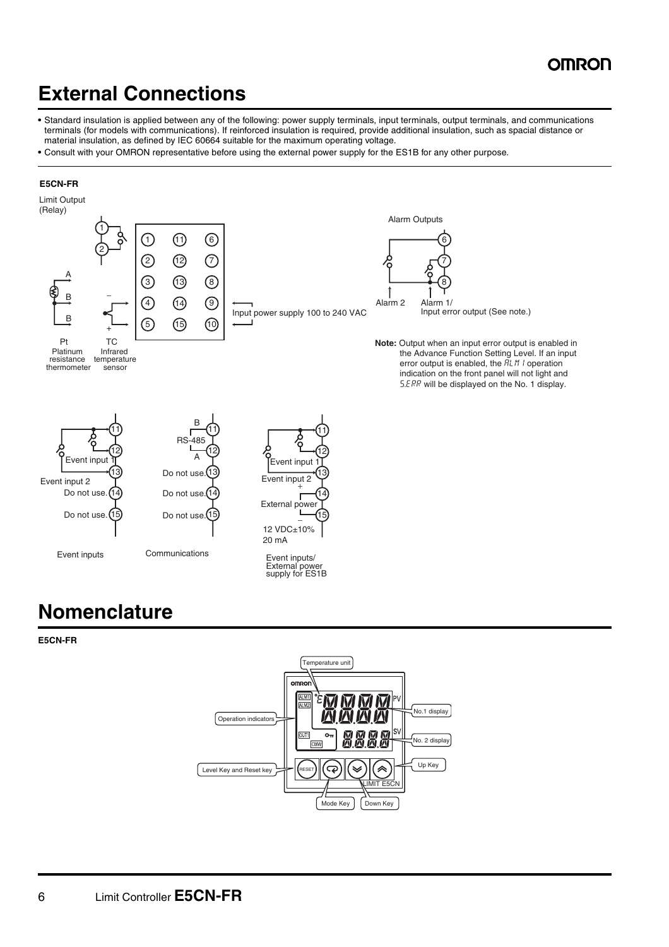### **OMRON**

## **External Connections**

- **•** Standard insulation is applied between any of the following: power supply terminals, input terminals, output terminals, and communications terminals (for models with communications). If reinforced insulation is required, provide additional insulation, such as spacial distance or material insulation, as defined by IEC 60664 suitable for the maximum operating voltage.
- **•** Consult with your OMRON representative before using the external power supply for the ES1B for any other purpose.

#### **E5CN-FR**



## **Nomenclature**

**E5CN-FR**

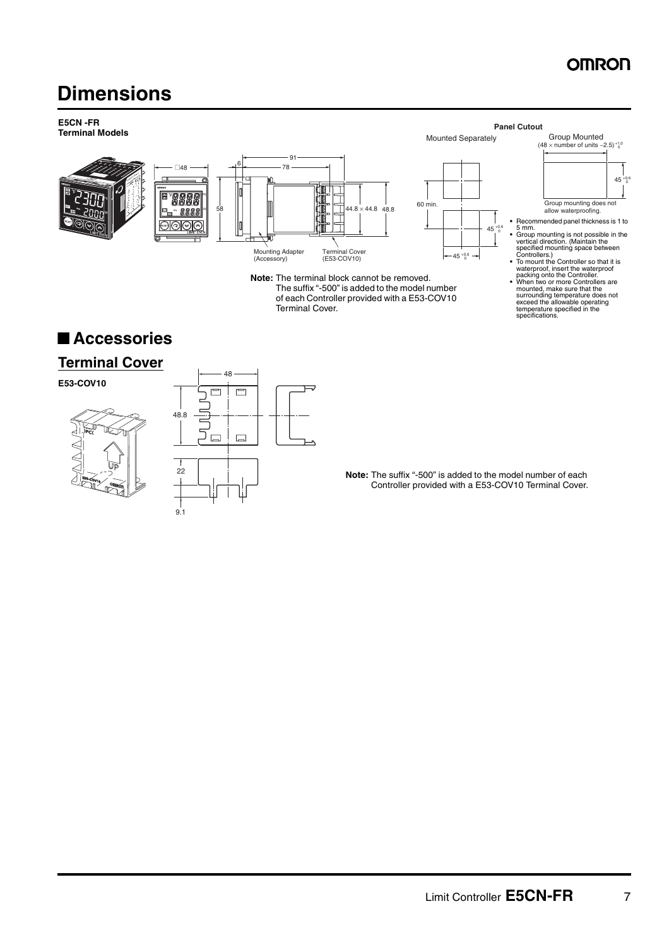### **OMRON**

## **Dimensions**



### ■ **Accessories**

### **Terminal Cover**

**E53-COV10**





**Note:** The suffix "-500" is added to the model number of each Controller provided with a E53-COV10 Terminal Cover.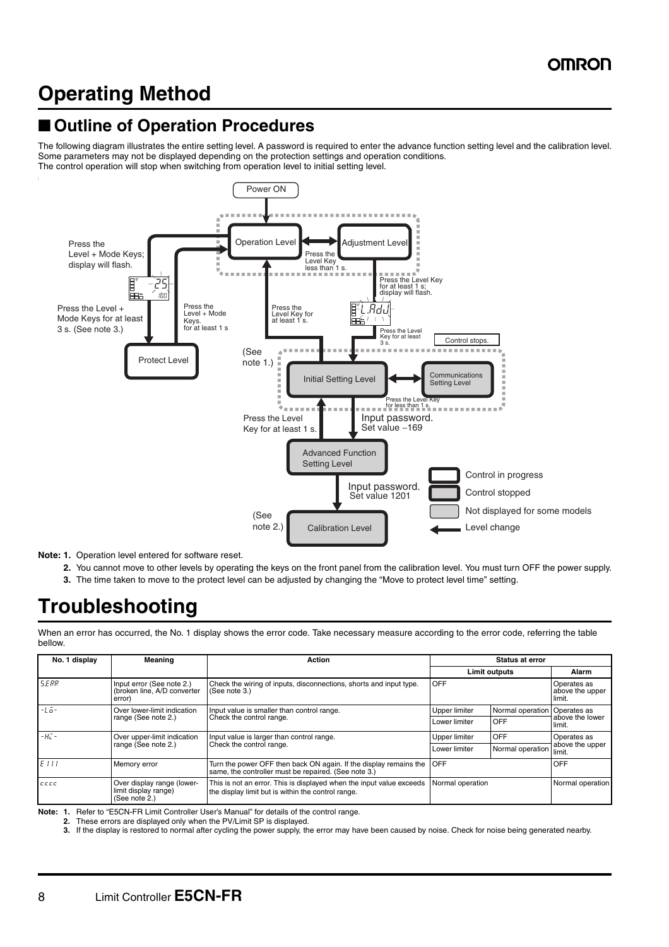## **Operating Method**

### ■ Outline of Operation Procedures

The following diagram illustrates the entire setting level. A password is required to enter the advance function setting level and the calibration level. Some parameters may not be displayed depending on the protection settings and operation conditions. The control operation will stop when switching from operation level to initial setting level.



**Note: 1.** Operation level entered for software reset.

- **2.** You cannot move to other levels by operating the keys on the front panel from the calibration level. You must turn OFF the power supply.
- **3.** The time taken to move to the protect level can be adjusted by changing the "Move to protect level time" setting.

## **Troubleshooting**

When an error has occurred, the No. 1 display shows the error code. Take necessary measure according to the error code, referring the table bellow.

| No. 1 display       | Meaning                                                             | Action                                                                                                                     |                      | <b>Status at error</b>       |                                          |  |
|---------------------|---------------------------------------------------------------------|----------------------------------------------------------------------------------------------------------------------------|----------------------|------------------------------|------------------------------------------|--|
|                     |                                                                     |                                                                                                                            | <b>Limit outputs</b> |                              | Alarm                                    |  |
| <b>S.ERR</b>        | Input error (See note 2.)<br>(broken line, A/D converter<br>error)  | Check the wiring of inputs, disconnections, shorts and input type.<br>(See note 3.)                                        | OFF                  |                              | Operates as<br>above the upper<br>limit. |  |
| $-1 - -$            | Over lower-limit indication                                         | Input value is smaller than control range.                                                                                 | Upper limiter        | Normal operation Operates as |                                          |  |
| range (See note 2.) |                                                                     | Check the control range.                                                                                                   | Lower limiter        | <b>OFF</b>                   | above the lower<br>limit.                |  |
| $-H^-$              | Over upper-limit indication                                         | Input value is larger than control range.                                                                                  | Upper limiter        | <b>OFF</b>                   | Operates as                              |  |
| range (See note 2.) |                                                                     | Check the control range.                                                                                                   | Lower limiter        | Normal operation             | above the upper<br>limit.                |  |
| EIII                | Memory error                                                        | Turn the power OFF then back ON again. If the display remains the<br>same, the controller must be repaired. (See note 3.)  | OFF                  |                              | <b>OFF</b>                               |  |
| $c$ ccc             | Over display range (lower-<br>limit display range)<br>(See note 2.) | This is not an error. This is displayed when the input value exceeds<br>the display limit but is within the control range. | Normal operation     |                              | Normal operation                         |  |

**Note: 1.** Refer to "E5CN-FR Limit Controller User's Manual" for details of the control range.

**2.** These errors are displayed only when the PV/Limit SP is displayed.<br>**3.** If the display is restored to normal after cycling the power supply, the

**3.** If the display is restored to normal after cycling the power supply, the error may have been caused by noise. Check for noise being generated nearby.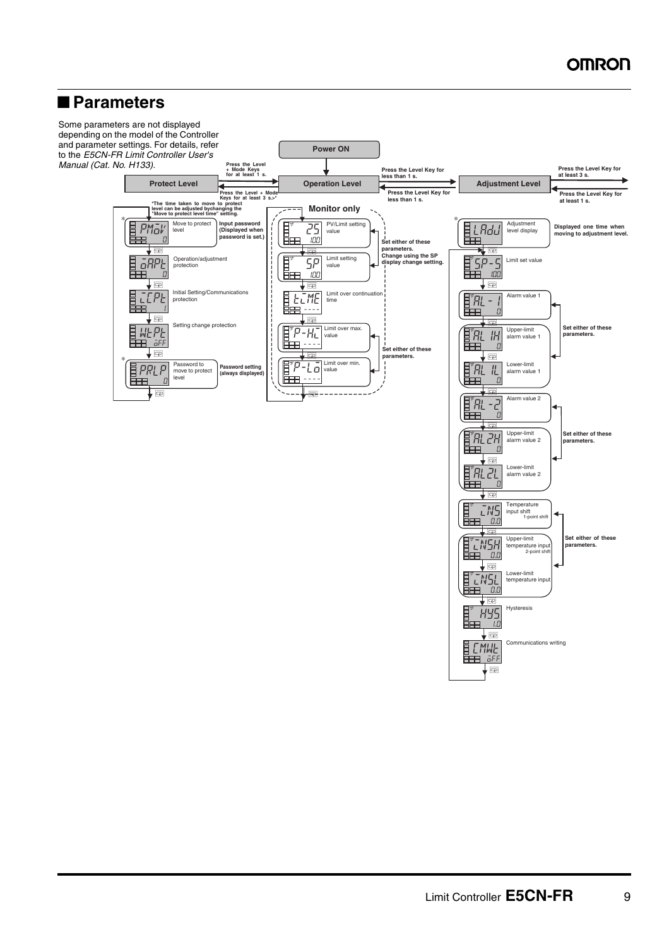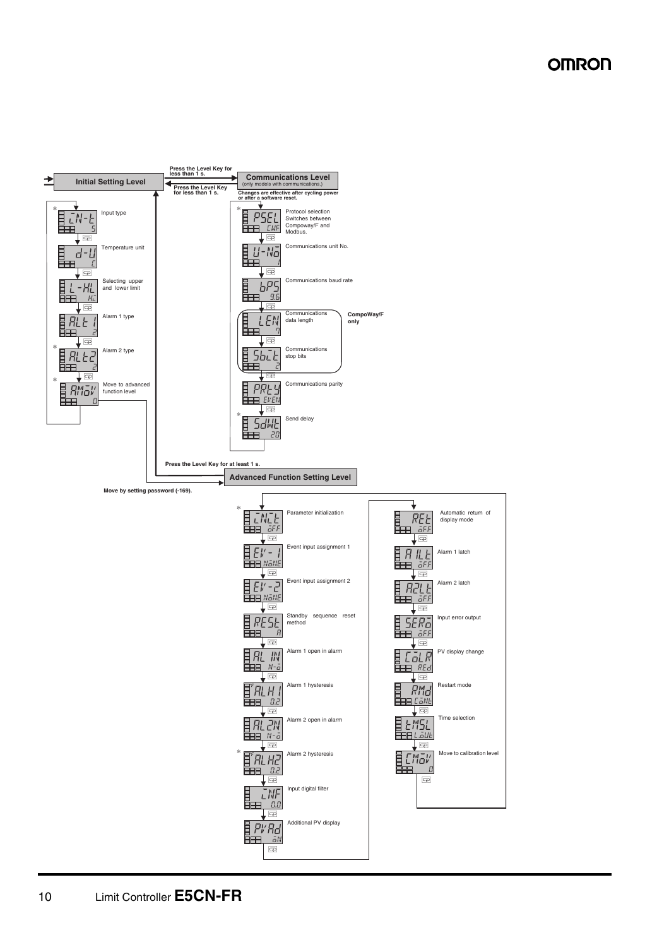### **OMRON**

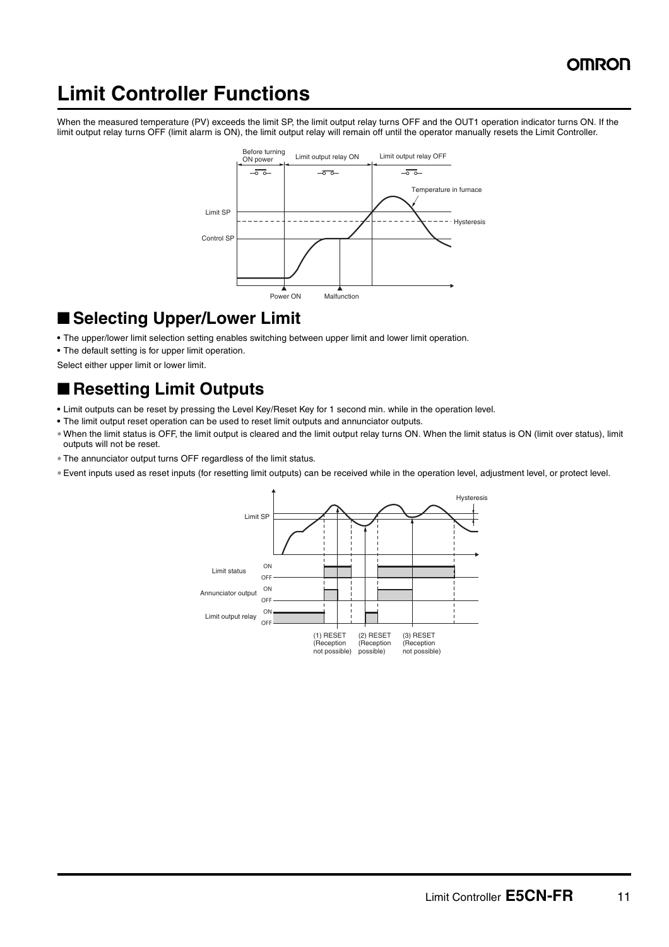## **Limit Controller Functions**

When the measured temperature (PV) exceeds the limit SP, the limit output relay turns OFF and the OUT1 operation indicator turns ON. If the limit output relay turns OFF (limit alarm is ON), the limit output relay will remain off until the operator manually resets the Limit Controller.



### ■ Selecting Upper/Lower Limit

- **•** The upper/lower limit selection setting enables switching between upper limit and lower limit operation.
- **•** The default setting is for upper limit operation.

Select either upper limit or lower limit.

### ■ **Resetting Limit Outputs**

- **•** Limit outputs can be reset by pressing the Level Key/Reset Key for 1 second min. while in the operation level.
- **•** The limit output reset operation can be used to reset limit outputs and annunciator outputs.
- ∗ When the limit status is OFF, the limit output is cleared and the limit output relay turns ON. When the limit status is ON (limit over status), limit outputs will not be reset.
- ∗ The annunciator output turns OFF regardless of the limit status.
- ∗ Event inputs used as reset inputs (for resetting limit outputs) can be received while in the operation level, adjustment level, or protect level.

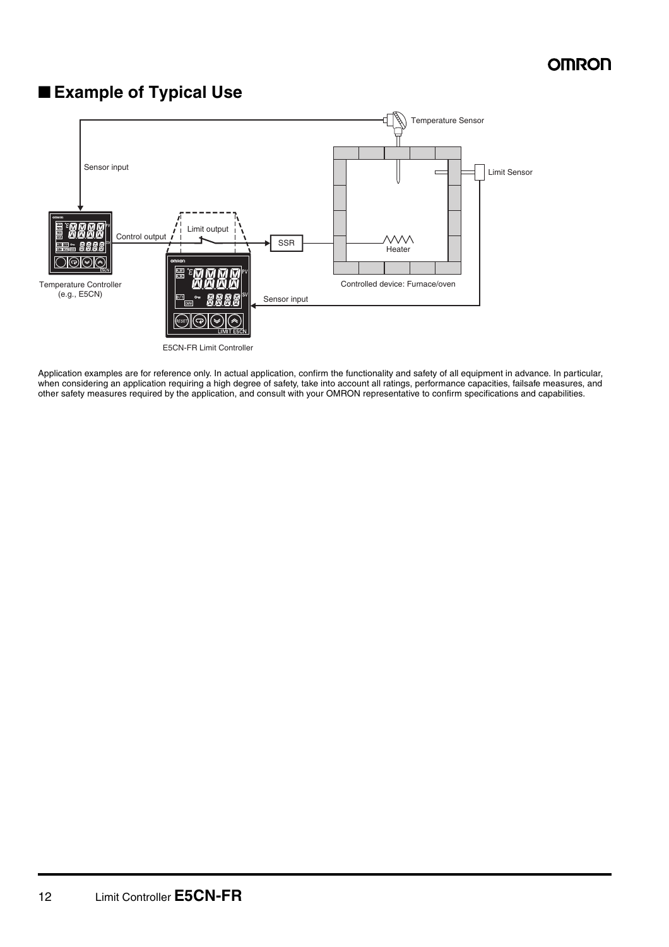### ■ **Example of Typical Use**



Application examples are for reference only. In actual application, confirm the functionality and safety of all equipment in advance. In particular, when considering an application requiring a high degree of safety, take into account all ratings, performance capacities, failsafe measures, and other safety measures required by the application, and consult with your OMRON representative to confirm specifications and capabilities.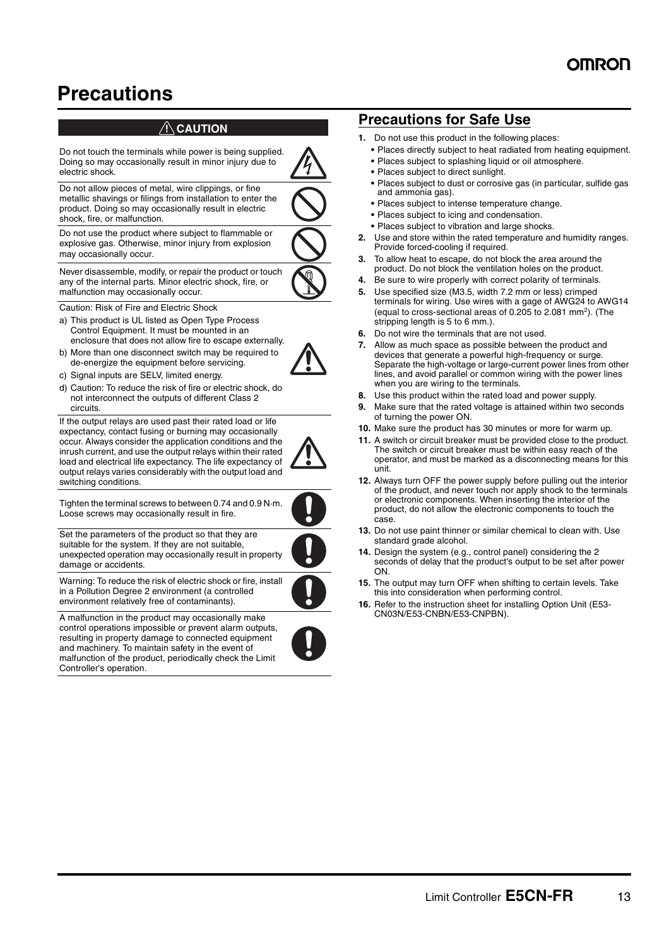## **Precautions**

### $\bigwedge$ **CAUTION**



If the output relays are used past their rated load or life expectancy, contact fusing or burning may occasionally occur. Always consider the application conditions and the inrush current, and use the output relays within their rated load and electrical life expectancy. The life expectancy of output relays varies considerably with the output load and switching conditions.



Tighten the terminal screws to between 0.74 and 0.9 N·m. Loose screws may occasionally result in fire.

Set the parameters of the product so that they are suitable for the system. If they are not suitable, unexpected operation may occasionally result in property damage or accidents.

Warning: To reduce the risk of electric shock or fire, install in a Pollution Degree 2 environment (a controlled environment relatively free of contaminants).

A malfunction in the product may occasionally make control operations impossible or prevent alarm outputs, resulting in property damage to connected equipment and machinery. To maintain safety in the event of malfunction of the product, periodically check the Limit Controller's operation.

### **Precautions for Safe Use**

- **1.** Do not use this product in the following places:
	- **•** Places directly subject to heat radiated from heating equipment.
	- **•** Places subject to splashing liquid or oil atmosphere.
	- **•** Places subject to direct sunlight.
	- **•** Places subject to dust or corrosive gas (in particular, sulfide gas and ammonia gas).
	- **•** Places subject to intense temperature change.
	- **•** Places subject to icing and condensation.
	- **•** Places subject to vibration and large shocks.
- **2.** Use and store within the rated temperature and humidity ranges. Provide forced-cooling if required.
- **3.** To allow heat to escape, do not block the area around the product. Do not block the ventilation holes on the product.
- **4.** Be sure to wire properly with correct polarity of terminals.
- **5.** Use specified size (M3.5, width 7.2 mm or less) crimped terminals for wiring. Use wires with a gage of AWG24 to AWG14 (equal to cross-sectional areas of 0.205 to 2.081 mm2). (The stripping length is 5 to 6 mm.).
- **6.** Do not wire the terminals that are not used.
- **7.** Allow as much space as possible between the product and devices that generate a powerful high-frequency or surge. Separate the high-voltage or large-current power lines from other lines, and avoid parallel or common wiring with the power lines when you are wiring to the terminals.
- **8.** Use this product within the rated load and power supply.
- **9.** Make sure that the rated voltage is attained within two seconds of turning the power ON.
- **10.** Make sure the product has 30 minutes or more for warm up.
- **11.** A switch or circuit breaker must be provided close to the product. The switch or circuit breaker must be within easy reach of the operator, and must be marked as a disconnecting means for this unit.
- **12.** Always turn OFF the power supply before pulling out the interior of the product, and never touch nor apply shock to the terminals or electronic components. When inserting the interior of the product, do not allow the electronic components to touch the case.
- **13.** Do not use paint thinner or similar chemical to clean with. Use standard grade alcohol.
- **14.** Design the system (e.g., control panel) considering the 2 seconds of delay that the product's output to be set after power ON.
- **15.** The output may turn OFF when shifting to certain levels. Take this into consideration when performing control.
- **16.** Refer to the instruction sheet for installing Option Unit (E53- CN03N/E53-CNBN/E53-CNPBN).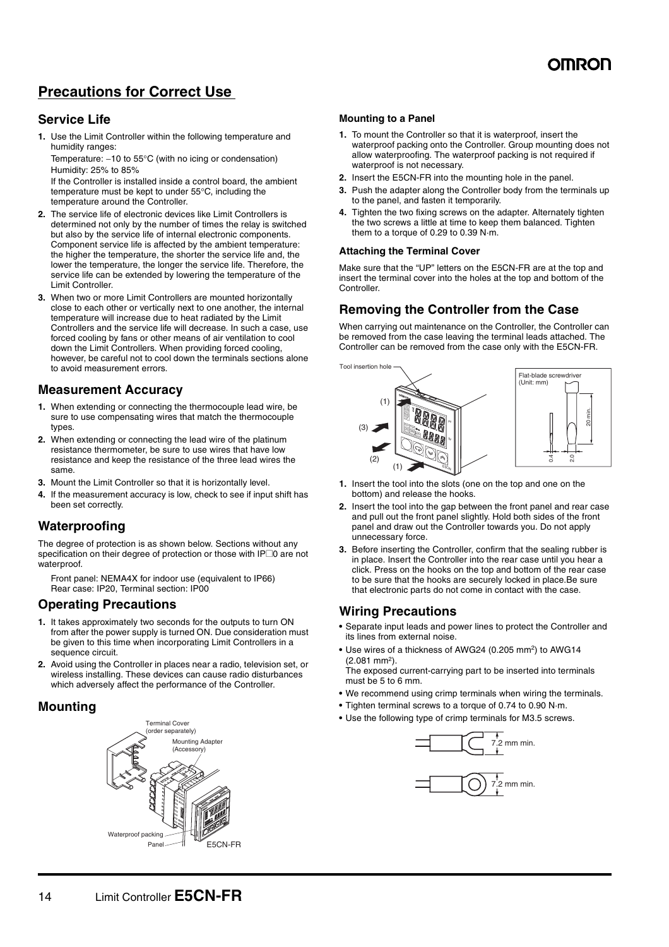

### **Precautions for Correct Use**

### **Service Life**

**1.** Use the Limit Controller within the following temperature and humidity ranges:

Temperature: -10 to 55°C (with no icing or condensation) Humidity: 25% to 85%

If the Controller is installed inside a control board, the ambient temperature must be kept to under 55°C, including the temperature around the Controller.

- **2.** The service life of electronic devices like Limit Controllers is determined not only by the number of times the relay is switched but also by the service life of internal electronic components. Component service life is affected by the ambient temperature: the higher the temperature, the shorter the service life and, the lower the temperature, the longer the service life. Therefore, the service life can be extended by lowering the temperature of the Limit Controller.
- **3.** When two or more Limit Controllers are mounted horizontally close to each other or vertically next to one another, the internal temperature will increase due to heat radiated by the Limit Controllers and the service life will decrease. In such a case, use forced cooling by fans or other means of air ventilation to cool down the Limit Controllers. When providing forced cooling, however, be careful not to cool down the terminals sections alone to avoid measurement errors.

### **Measurement Accuracy**

- **1.** When extending or connecting the thermocouple lead wire, be sure to use compensating wires that match the thermocouple types.
- **2.** When extending or connecting the lead wire of the platinum resistance thermometer, be sure to use wires that have low resistance and keep the resistance of the three lead wires the same.
- **3.** Mount the Limit Controller so that it is horizontally level.
- **4.** If the measurement accuracy is low, check to see if input shift has been set correctly.

### **Waterproofing**

The degree of protection is as shown below. Sections without any specification on their degree of protection or those with IP<sup>O</sup> are not waterproof.

Front panel: NEMA4X for indoor use (equivalent to IP66) Rear case: IP20, Terminal section: IP00

### **Operating Precautions**

- **1.** It takes approximately two seconds for the outputs to turn ON from after the power supply is turned ON. Due consideration must be given to this time when incorporating Limit Controllers in a sequence circuit.
- **2.** Avoid using the Controller in places near a radio, television set, or wireless installing. These devices can cause radio disturbances which adversely affect the performance of the Controller.

### **Mounting**



#### **Mounting to a Panel**

- **1.** To mount the Controller so that it is waterproof, insert the waterproof packing onto the Controller. Group mounting does not allow waterproofing. The waterproof packing is not required if waterproof is not necessary.
- **2.** Insert the E5CN-FR into the mounting hole in the panel.
- **3.** Push the adapter along the Controller body from the terminals up to the panel, and fasten it temporarily.
- **4.** Tighten the two fixing screws on the adapter. Alternately tighten the two screws a little at time to keep them balanced. Tighten them to a torque of 0.29 to 0.39 N·m.

#### **Attaching the Terminal Cover**

Make sure that the "UP" letters on the E5CN-FR are at the top and insert the terminal cover into the holes at the top and bottom of the Controller.

### **Removing the Controller from the Case**

When carrying out maintenance on the Controller, the Controller can be removed from the case leaving the terminal leads attached. The Controller can be removed from the case only with the E5CN-FR.



- **1.** Insert the tool into the slots (one on the top and one on the bottom) and release the hooks.
- **2.** Insert the tool into the gap between the front panel and rear case and pull out the front panel slightly. Hold both sides of the front panel and draw out the Controller towards you. Do not apply unnecessary force.
- **3.** Before inserting the Controller, confirm that the sealing rubber is in place. Insert the Controller into the rear case until you hear a click. Press on the hooks on the top and bottom of the rear case to be sure that the hooks are securely locked in place.Be sure that electronic parts do not come in contact with the case.

#### **Wiring Precautions**

- **•** Separate input leads and power lines to protect the Controller and its lines from external noise.
- Use wires of a thickness of AWG24 (0.205 mm<sup>2</sup>) to AWG14 (2.081 mm2).

The exposed current-carrying part to be inserted into terminals must be 5 to 6 mm.

- **•** We recommend using crimp terminals when wiring the terminals.
- **•** Tighten terminal screws to a torque of 0.74 to 0.90 N·m.

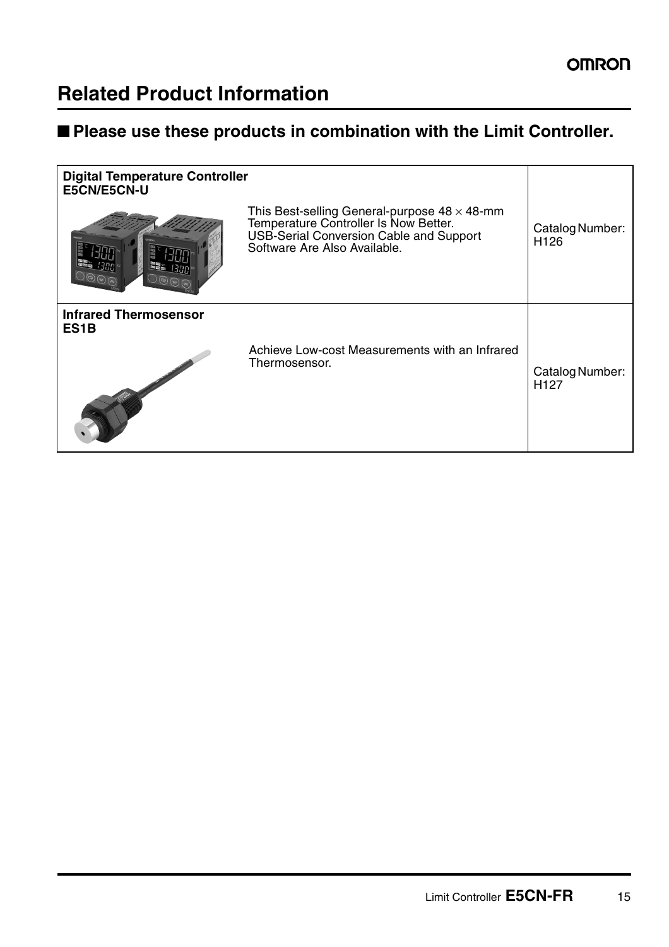## **Related Product Information**

### ■ **Please use these products in combination with the Limit Controller.**

| <b>Digital Temperature Controller</b><br>E5CN/E5CN-U |                                                                                                                                                                          |                                     |
|------------------------------------------------------|--------------------------------------------------------------------------------------------------------------------------------------------------------------------------|-------------------------------------|
|                                                      | This Best-selling General-purpose $48 \times 48$ -mm<br>Temperature Controller Is Now Better.<br>USB-Serial Conversion Cable and Support<br>Software Are Also Available. | Catalog Number:<br>H <sub>126</sub> |
| <b>Infrared Thermosensor</b><br>ES <sub>1</sub> B    |                                                                                                                                                                          |                                     |
|                                                      | Achieve Low-cost Measurements with an Infrared<br>Thermosensor.                                                                                                          | Catalog Number:<br>H <sub>127</sub> |